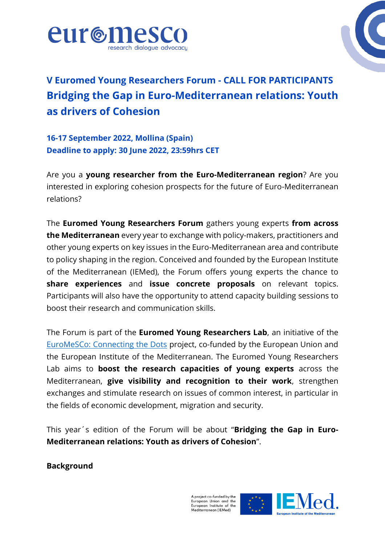



# **V Euromed Young Researchers Forum - CALL FOR PARTICIPANTS Bridging the Gap in Euro-Mediterranean relations: Youth as drivers of Cohesion**

**16-17 September 2022, Mollina (Spain) Deadline to apply: 30 June 2022, 23:59hrs CET**

Are you a **young researcher from the Euro-Mediterranean region**? Are you interested in exploring cohesion prospects for the future of Euro-Mediterranean relations?

The **Euromed Young Researchers Forum** gathers young experts **from across the Mediterranean** every year to exchange with policy-makers, practitioners and other young experts on key issues in the Euro-Mediterranean area and contribute to policy shaping in the region. Conceived and founded by the European Institute of the Mediterranean (IEMed), the Forum offers young experts the chance to **share experiences** and **issue concrete proposals** on relevant topics. Participants will also have the opportunity to attend capacity building sessions to boost their research and communication skills.

The Forum is part of the **Euromed Young Researchers Lab**, an initiative of the [EuroMeSCo: Connecting the Dots](https://www.youtube.com/watch?v=DfjBgsRlcgg) project, co-funded by the European Union and the European Institute of the Mediterranean. The Euromed Young Researchers Lab aims to **boost the research capacities of young experts** across the Mediterranean, **give visibility and recognition to their work**, strengthen exchanges and stimulate research on issues of common interest, in particular in the fields of economic development, migration and security.

This year´s edition of the Forum will be about "**Bridging the Gap in Euro-Mediterranean relations: Youth as drivers of Cohesion**".

**Background**

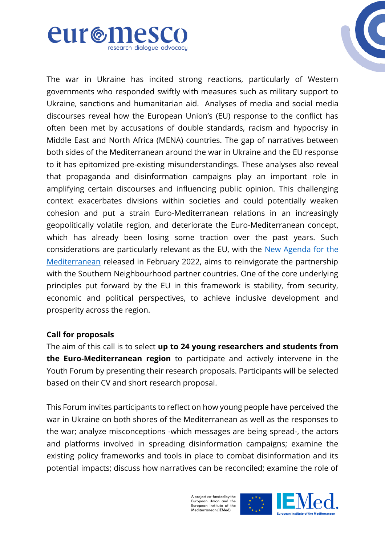



The war in Ukraine has incited strong reactions, particularly of Western governments who responded swiftly with measures such as military support to Ukraine, sanctions and humanitarian aid. Analyses of media and social media discourses reveal how the European Union's (EU) response to the conflict has often been met by accusations of double standards, racism and hypocrisy in Middle East and North Africa (MENA) countries. The gap of narratives between both sides of the Mediterranean around the war in Ukraine and the EU response to it has epitomized pre-existing misunderstandings. These analyses also reveal that propaganda and disinformation campaigns play an important role in amplifying certain discourses and influencing public opinion. This challenging context exacerbates divisions within societies and could potentially weaken cohesion and put a strain Euro-Mediterranean relations in an increasingly geopolitically volatile region, and deteriorate the Euro-Mediterranean concept, which has already been losing some traction over the past years. Such considerations are particularly relevant as the EU, with the [New Agenda for the](https://www.eeas.europa.eu/eeas/renewed-partnership-southern-neighbourhood-new-agenda-mediterranean_en)  [Mediterranean](https://www.eeas.europa.eu/eeas/renewed-partnership-southern-neighbourhood-new-agenda-mediterranean_en) released in February 2022, aims to reinvigorate the partnership with the Southern Neighbourhood partner countries. One of the core underlying principles put forward by the EU in this framework is stability, from security, economic and political perspectives, to achieve inclusive development and prosperity across the region.

#### **Call for proposals**

The aim of this call is to select **up to 24 young researchers and students from the Euro-Mediterranean region** to participate and actively intervene in the Youth Forum by presenting their research proposals. Participants will be selected based on their CV and short research proposal.

This Forum invites participants to reflect on how young people have perceived the war in Ukraine on both shores of the Mediterranean as well as the responses to the war; analyze misconceptions -which messages are being spread-, the actors and platforms involved in spreading disinformation campaigns; examine the existing policy frameworks and tools in place to combat disinformation and its potential impacts; discuss how narratives can be reconciled; examine the role of

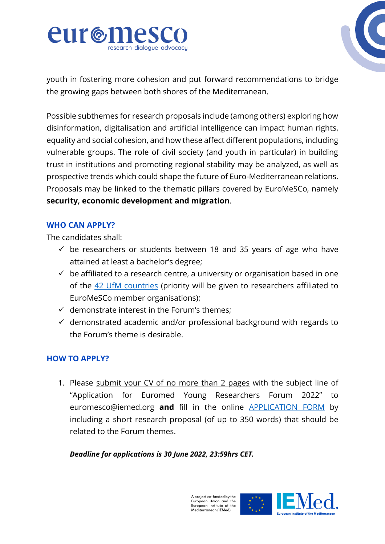



youth in fostering more cohesion and put forward recommendations to bridge the growing gaps between both shores of the Mediterranean.

Possible subthemes for research proposals include (among others) exploring how disinformation, digitalisation and artificial intelligence can impact human rights, equality and social cohesion, and how these affect different populations, including vulnerable groups. The role of civil society (and youth in particular) in building trust in institutions and promoting regional stability may be analyzed, as well as prospective trends which could shape the future of Euro-Mediterranean relations. Proposals may be linked to the thematic pillars covered by EuroMeSCo, namely **security, economic development and migration**.

### **WHO CAN APPLY?**

The candidates shall:

- $\checkmark$  be researchers or students between 18 and 35 years of age who have attained at least a bachelor's degree;
- $\checkmark$  be affiliated to a research centre, a university or organisation based in one of the 42 [UfM countries](https://ufmsecretariat.org/who-we-are/member-states/) (priority will be given to researchers affiliated to EuroMeSCo member organisations);
- $\checkmark$  demonstrate interest in the Forum's themes;
- $\checkmark$  demonstrated academic and/or professional background with regards to the Forum's theme is desirable.

## **HOW TO APPLY?**

1. Please submit your CV of no more than 2 pages with the subject line of "Application for Euromed Young Researchers Forum 2022" to euromesco@iemed.org **and** fill in the online [APPLICATION FORM](https://forms.office.com/r/Nx9B3nJNGv) by including a short research proposal (of up to 350 words) that should be related to the Forum themes.

*Deadline for applications is 30 June 2022, 23:59hrs CET.*

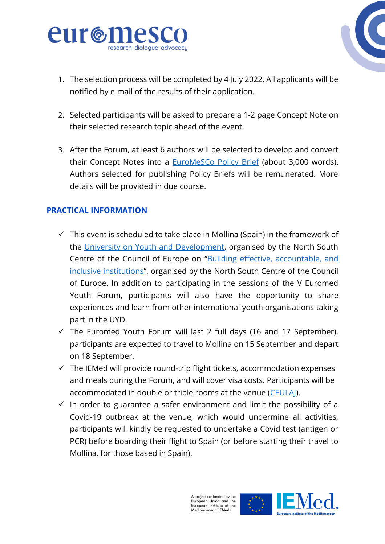



- 1. The selection process will be completed by 4 July 2022. All applicants will be notified by e-mail of the results of their application.
- 2. Selected participants will be asked to prepare a 1-2 page Concept Note on their selected research topic ahead of the event.
- 3. After the Forum, at least 6 authors will be selected to develop and convert their Concept Notes into a **[EuroMeSCo Policy Brief](https://www.euromesco.net/series/policy-brief/)** (about 3,000 words). Authors selected for publishing Policy Briefs will be remunerated. More details will be provided in due course.

## **PRACTICAL INFORMATION**

- $\checkmark$  This event is scheduled to take place in Mollina (Spain) in the framework of the [University on Youth and Development,](https://www.coe.int/en/web/north-south-centre/university-on-youth-and-development) organised by the North South Centre of the Council of Europe on "[Building effective, accountable, and](https://rm.coe.int/2022-concept-note-universities/1680a61b2b)  [inclusive institutions](https://rm.coe.int/2022-concept-note-universities/1680a61b2b)", organised by the North South Centre of the Council of Europe. In addition to participating in the sessions of the V Euromed Youth Forum, participants will also have the opportunity to share experiences and learn from other international youth organisations taking part in the UYD.
- $\checkmark$  The Euromed Youth Forum will last 2 full days (16 and 17 September), participants are expected to travel to Mollina on 15 September and depart on 18 September.
- $\checkmark$  The IEMed will provide round-trip flight tickets, accommodation expenses and meals during the Forum, and will cover visa costs. Participants will be accommodated in double or triple rooms at the venue [\(CEULAJ\)](https://www.coe.int/en/web/youth/quality-label-for-youth-centres#{%2224902532%22:[13]}).
- $\checkmark$  In order to guarantee a safer environment and limit the possibility of a Covid-19 outbreak at the venue, which would undermine all activities, participants will kindly be requested to undertake a Covid test (antigen or PCR) before boarding their flight to Spain (or before starting their travel to Mollina, for those based in Spain).